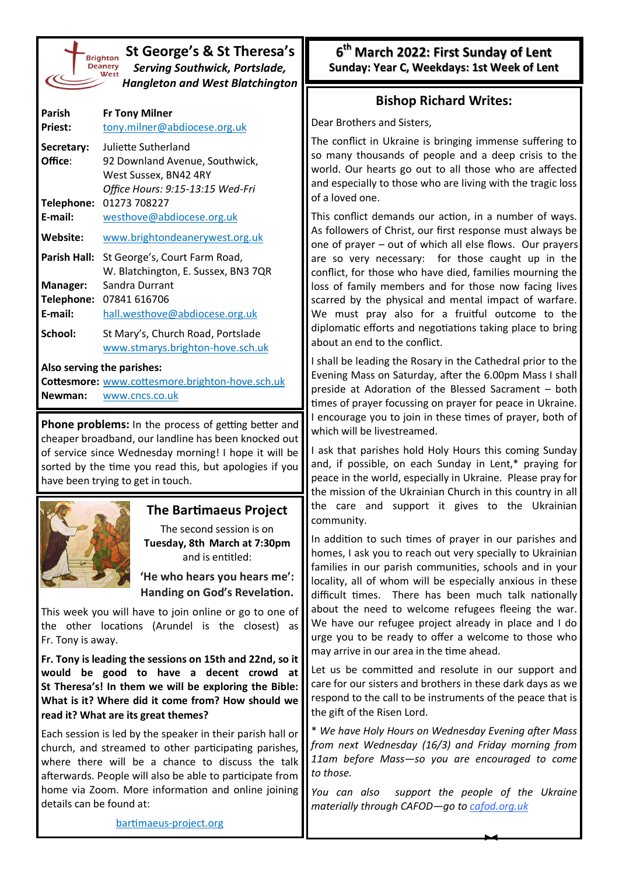| St George's & St Theresa's<br><b>Brighton</b><br><b>Deanery</b><br><b>Serving Southwick, Portslade,</b><br>West<br><b>Hangleton and West Blatchington</b> |                                                 |  |  |  |  |
|-----------------------------------------------------------------------------------------------------------------------------------------------------------|-------------------------------------------------|--|--|--|--|
| Parish                                                                                                                                                    | <b>Fr Tony Milner</b>                           |  |  |  |  |
| <b>Priest:</b>                                                                                                                                            | tony.milner@abdiocese.org.uk                    |  |  |  |  |
| Secretary:                                                                                                                                                | Juliette Sutherland                             |  |  |  |  |
| Office:                                                                                                                                                   | 92 Downland Avenue, Southwick,                  |  |  |  |  |
|                                                                                                                                                           | West Sussex, BN42 4RY                           |  |  |  |  |
|                                                                                                                                                           | Office Hours: 9:15-13:15 Wed-Fri                |  |  |  |  |
| Telephone:                                                                                                                                                | 01273 708227                                    |  |  |  |  |
| E-mail:                                                                                                                                                   | westhove@abdiocese.org.uk                       |  |  |  |  |
| <b>Website:</b>                                                                                                                                           | www.brightondeanerywest.org.uk                  |  |  |  |  |
| <b>Parish Hall:</b>                                                                                                                                       | St George's, Court Farm Road,                   |  |  |  |  |
|                                                                                                                                                           | W. Blatchington, E. Sussex, BN3 7QR             |  |  |  |  |
| <b>Manager:</b>                                                                                                                                           | Sandra Durrant                                  |  |  |  |  |
|                                                                                                                                                           | Telephone: 07841 616706                         |  |  |  |  |
| E-mail:                                                                                                                                                   | hall.westhove@abdiocese.org.uk                  |  |  |  |  |
| School:                                                                                                                                                   | St Mary's, Church Road, Portslade               |  |  |  |  |
|                                                                                                                                                           | www.stmarys.brighton-hove.sch.uk                |  |  |  |  |
|                                                                                                                                                           | Also serving the parishes:                      |  |  |  |  |
|                                                                                                                                                           | Cottesmore: www.cottesmore.brighton-hove.sch.uk |  |  |  |  |
| Newman:                                                                                                                                                   | www.cncs.co.uk                                  |  |  |  |  |

**Phone problems:** In the process of getting better and cheaper broadband, our landline has been knocked out of service since Wednesday morning! I hope it will be sorted by the time you read this, but apologies if you have been trying to get in touch.



# **The Bartimaeus Project**

The second session is on **Tuesday, 8th March at 7:30pm**  and is entitled:

**'He who hears you hears me': Handing on God's Revelation.**

This week you will have to join online or go to one of the other locations (Arundel is the closest) as Fr. Tony is away.

**Fr. Tony is leading the sessions on 15th and 22nd, so it would be good to have a decent crowd at St Theresa's! In them we will be exploring the Bible: What is it? Where did it come from? How should we read it? What are its great themes?** 

Each session is led by the speaker in their parish hall or church, and streamed to other participating parishes, where there will be a chance to discuss the talk afterwards. People will also be able to participate from home via Zoom. More information and online joining details can be found at:

**6 th March 2022: First Sunday of Lent Sunday: Year C, Weekdays: 1st Week of Lent**

# **Bishop Richard Writes:**

Dear Brothers and Sisters,

The conflict in Ukraine is bringing immense suffering to so many thousands of people and a deep crisis to the world. Our hearts go out to all those who are affected and especially to those who are living with the tragic loss of a loved one.

This conflict demands our action, in a number of ways. As followers of Christ, our first response must always be one of prayer – out of which all else flows. Our prayers are so very necessary: for those caught up in the conflict, for those who have died, families mourning the loss of family members and for those now facing lives scarred by the physical and mental impact of warfare. We must pray also for a fruitful outcome to the diplomatic efforts and negotiations taking place to bring about an end to the conflict.

I shall be leading the Rosary in the Cathedral prior to the Evening Mass on Saturday, after the 6.00pm Mass I shall preside at Adoration of the Blessed Sacrament – both times of prayer focussing on prayer for peace in Ukraine. I encourage you to join in these times of prayer, both of which will be livestreamed.

I ask that parishes hold Holy Hours this coming Sunday and, if possible, on each Sunday in Lent,\* praying for peace in the world, especially in Ukraine. Please pray for the mission of the Ukrainian Church in this country in all the care and support it gives to the Ukrainian community.

In addition to such times of prayer in our parishes and homes, I ask you to reach out very specially to Ukrainian families in our parish communities, schools and in your locality, all of whom will be especially anxious in these difficult times. There has been much talk nationally about the need to welcome refugees fleeing the war. We have our refugee project already in place and I do urge you to be ready to offer a welcome to those who may arrive in our area in the time ahead.

Let us be committed and resolute in our support and care for our sisters and brothers in these dark days as we respond to the call to be instruments of the peace that is the gift of the Risen Lord.

\* *We have Holy Hours on Wednesday Evening after Mass from next Wednesday (16/3) and Friday morning from 11am before Mass—so you are encouraged to come to those.*

*You can also support the people of the Ukraine materially through CAFOD—go to [cafod.org.uk](https://cafod.org.uk/Give/Donate-to-Emergencies/Ukraine-Humanitarian-Appeal)*

[bartimaeus](https://bartimaeus-project.org/)-project.org